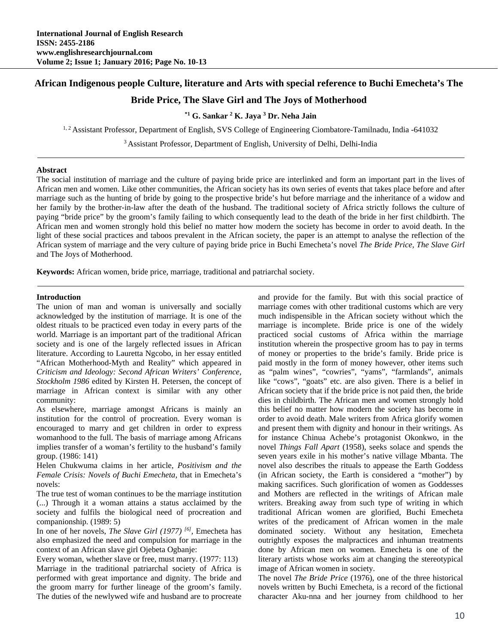## **African Indigenous people Culture, literature and Arts with special reference to Buchi Emecheta's The**

# **Bride Price, The Slave Girl and The Joys of Motherhood**

## <sup>\*1</sup> G. Sankar <sup>2</sup> K. Jaya <sup>3</sup> Dr. Neha Jain

<sup>1, 2</sup> Assistant Professor, Department of English, SVS College of Engineering Ciombatore-Tamilnadu, India -641032

3 Assistant Professor, Department of English, University of Delhi, Delhi-India

#### **Abstract**

The social institution of marriage and the culture of paying bride price are interlinked and form an important part in the lives of African men and women. Like other communities, the African society has its own series of events that takes place before and after marriage such as the hunting of bride by going to the prospective bride's hut before marriage and the inheritance of a widow and her family by the brother-in-law after the death of the husband. The traditional society of Africa strictly follows the culture of paying "bride price" by the groom's family failing to which consequently lead to the death of the bride in her first childbirth. The African men and women strongly hold this belief no matter how modern the society has become in order to avoid death. In the light of these social practices and taboos prevalent in the African society, the paper is an attempt to analyse the reflection of the African system of marriage and the very culture of paying bride price in Buchi Emecheta's novel *The Bride Price, The Slave Girl*  and The Joys of Motherhood.

**Keywords:** African women, bride price, marriage, traditional and patriarchal society.

#### **Introduction**

The union of man and woman is universally and socially acknowledged by the institution of marriage. It is one of the oldest rituals to be practiced even today in every parts of the world. Marriage is an important part of the traditional African society and is one of the largely reflected issues in African literature. According to Lauretta Ngcobo, in her essay entitled "African Motherhood-Myth and Reality" which appeared in *Criticism and Ideology: Second African Writers' Conference, Stockholm 1986* edited by Kirsten H. Petersen, the concept of marriage in African context is similar with any other community:

As elsewhere, marriage amongst Africans is mainly an institution for the control of procreation. Every woman is encouraged to marry and get children in order to express womanhood to the full. The basis of marriage among Africans implies transfer of a woman's fertility to the husband's family group. (1986: 141)

Helen Chukwuma claims in her article, *Positivism and the Female Crisis: Novels of Buchi Emecheta*, that in Emecheta's novels:

The true test of woman continues to be the marriage institution (...) Through it a woman attains a status acclaimed by the society and fulfils the biological need of procreation and companionship. (1989: 5)

In one of her novels, *The Slave Girl (1977) [6],* Emecheta has also emphasized the need and compulsion for marriage in the context of an African slave girl Ojebeta Ogbanje:

Every woman, whether slave or free, must marry. (1977: 113) Marriage in the traditional patriarchal society of Africa is performed with great importance and dignity. The bride and the groom marry for further lineage of the groom's family. The duties of the newlywed wife and husband are to procreate and provide for the family. But with this social practice of marriage comes with other traditional customs which are very much indispensible in the African society without which the marriage is incomplete. Bride price is one of the widely practiced social customs of Africa within the marriage institution wherein the prospective groom has to pay in terms of money or properties to the bride's family. Bride price is paid mostly in the form of money however, other items such as "palm wines", "cowries", "yams", "farmlands", animals like "cows", "goats" etc. are also given. There is a belief in African society that if the bride price is not paid then, the bride dies in childbirth. The African men and women strongly hold this belief no matter how modern the society has become in order to avoid death. Male writers from Africa glorify women and present them with dignity and honour in their writings. As for instance Chinua Achebe's protagonist Okonkwo, in the novel *Things Fall Apart* (1958), seeks solace and spends the seven years exile in his mother's native village Mbanta. The novel also describes the rituals to appease the Earth Goddess (in African society, the Earth is considered a "mother") by making sacrifices. Such glorification of women as Goddesses and Mothers are reflected in the writings of African male writers. Breaking away from such type of writing in which traditional African women are glorified, Buchi Emecheta writes of the predicament of African women in the male dominated society. Without any hesitation, Emecheta outrightly exposes the malpractices and inhuman treatments done by African men on women. Emecheta is one of the literary artists whose works aim at changing the stereotypical image of African women in society.

The novel *The Bride Price* (1976), one of the three historical novels written by Buchi Emecheta, is a record of the fictional character Aku-nna and her journey from childhood to her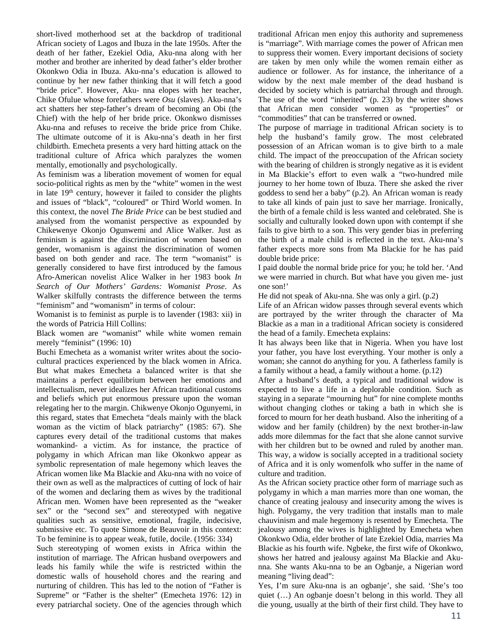short-lived motherhood set at the backdrop of traditional African society of Lagos and Ibuza in the late 1950s. After the death of her father, Ezekiel Odia, Aku-nna along with her mother and brother are inherited by dead father's elder brother Okonkwo Odia in Ibuza. Aku-nna's education is allowed to continue by her new father thinking that it will fetch a good "bride price". However, Aku- nna elopes with her teacher, Chike Ofulue whose forefathers were *Osu* (slaves). Aku-nna's act shatters her step-father's dream of becoming an Obi (the Chief) with the help of her bride price. Okonkwo dismisses Aku-nna and refuses to receive the bride price from Chike. The ultimate outcome of it is Aku-nna's death in her first childbirth. Emecheta presents a very hard hitting attack on the traditional culture of Africa which paralyzes the women mentally, emotionally and psychologically.

As feminism was a liberation movement of women for equal socio-political rights as men by the "white" women in the west in late  $19<sup>th</sup>$  century, however it failed to consider the plights and issues of "black", "coloured" or Third World women. In this context, the novel *The Bride Price* can be best studied and analysed from the womanist perspective as expounded by Chikewenye Okonjo Ogunwemi and Alice Walker. Just as feminism is against the discrimination of women based on gender, womanism is against the discrimination of women based on both gender and race. The term "womanist" is generally considered to have first introduced by the famous Afro-American novelist Alice Walker in her 1983 book *In Search of Our Mothers' Gardens: Womanist Prose*. As Walker skilfully contrasts the difference between the terms "feminism" and "womanism" in terms of colour:

Womanist is to feminist as purple is to lavender (1983: xii) in the words of Patricia Hill Collins:

Black women are "womanist" while white women remain merely "feminist" (1996: 10)

Buchi Emecheta as a womanist writer writes about the sociocultural practices experienced by the black women in Africa. But what makes Emecheta a balanced writer is that she maintains a perfect equilibrium between her emotions and intellectualism, never idealizes her African traditional customs and beliefs which put enormous pressure upon the woman relegating her to the margin. Chikwenye Okonjo Ogunyemi, in this regard, states that Emecheta "deals mainly with the black woman as the victim of black patriarchy" (1985: 67). She captures every detail of the traditional customs that makes womankind- a victim. As for instance, the practice of polygamy in which African man like Okonkwo appear as symbolic representation of male hegemony which leaves the African women like Ma Blackie and Aku-nna with no voice of their own as well as the malpractices of cutting of lock of hair of the women and declaring them as wives by the traditional African men. Women have been represented as the "weaker sex" or the "second sex" and stereotyped with negative qualities such as sensitive, emotional, fragile, indecisive, submissive etc. To quote Simone de Beauvoir in this context: To be feminine is to appear weak, futile, docile. (1956: 334)

Such stereotyping of women exists in Africa within the institution of marriage. The African husband overpowers and leads his family while the wife is restricted within the domestic walls of household chores and the rearing and nurturing of children. This has led to the notion of "Father is Supreme" or "Father is the shelter" (Emecheta 1976: 12) in every patriarchal society. One of the agencies through which traditional African men enjoy this authority and supremeness is "marriage". With marriage comes the power of African men to suppress their women. Every important decisions of society are taken by men only while the women remain either as audience or follower. As for instance, the inheritance of a widow by the next male member of the dead husband is decided by society which is patriarchal through and through. The use of the word "inherited" (p. 23) by the writer shows that African men consider women as "properties" or "commodities" that can be transferred or owned.

The purpose of marriage in traditional African society is to help the husband's family grow. The most celebrated possession of an African woman is to give birth to a male child. The impact of the preoccupation of the African society with the bearing of children is strongly negative as it is evident in Ma Blackie's effort to even walk a "two-hundred mile journey to her home town of Ibuza. There she asked the river goddess to send her a baby" (p.2). An African woman is ready to take all kinds of pain just to save her marriage. Ironically, the birth of a female child is less wanted and celebrated. She is socially and culturally looked down upon with contempt if she fails to give birth to a son. This very gender bias in preferring the birth of a male child is reflected in the text. Aku-nna's father expects more sons from Ma Blackie for he has paid double bride price:

I paid double the normal bride price for you; he told her. 'And we were married in church. But what have you given me- just one son!'

He did not speak of Aku-nna. She was only a girl. (p.2)

Life of an African widow passes through several events which are portrayed by the writer through the character of Ma Blackie as a man in a traditional African society is considered the head of a family. Emecheta explains:

It has always been like that in Nigeria. When you have lost your father, you have lost everything. Your mother is only a woman; she cannot do anything for you. A fatherless family is a family without a head, a family without a home. (p.12)

After a husband's death, a typical and traditional widow is expected to live a life in a deplorable condition. Such as staying in a separate "mourning hut" for nine complete months without changing clothes or taking a bath in which she is forced to mourn for her death husband. Also the inheriting of a widow and her family (children) by the next brother-in-law adds more dilemmas for the fact that she alone cannot survive with her children but to be owned and ruled by another man. This way, a widow is socially accepted in a traditional society of Africa and it is only womenfolk who suffer in the name of culture and tradition.

As the African society practice other form of marriage such as polygamy in which a man marries more than one woman, the chance of creating jealousy and insecurity among the wives is high. Polygamy, the very tradition that installs man to male chauvinism and male hegemony is resented by Emecheta. The jealousy among the wives is highlighted by Emecheta when Okonkwo Odia, elder brother of late Ezekiel Odia, marries Ma Blackie as his fourth wife. Ngbeke, the first wife of Okonkwo, shows her hatred and jealousy against Ma Blackie and Akunna. She wants Aku-nna to be an Ogbanje, a Nigerian word meaning "living dead":

Yes, I'm sure Aku-nna is an ogbanje', she said. 'She's too quiet (…) An ogbanje doesn't belong in this world. They all die young, usually at the birth of their first child. They have to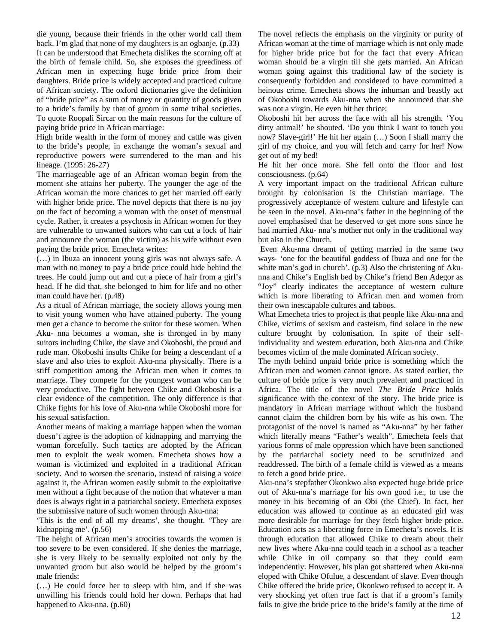die young, because their friends in the other world call them back. I'm glad that none of my daughters is an ogbanje. (p.33) It can be understood that Emecheta dislikes the scorning off at the birth of female child. So, she exposes the greediness of African men in expecting huge bride price from their daughters. Bride price is widely accepted and practiced culture of African society. The oxford dictionaries give the definition of "bride price" as a sum of money or quantity of goods given to a bride's family by that of groom in some tribal societies. To quote Roopali Sircar on the main reasons for the culture of paying bride price in African marriage:

High bride wealth in the form of money and cattle was given to the bride's people, in exchange the woman's sexual and reproductive powers were surrendered to the man and his lineage. (1995: 26-27)

The marriageable age of an African woman begin from the moment she attains her puberty. The younger the age of the African woman the more chances to get her married off early with higher bride price. The novel depicts that there is no joy on the fact of becoming a woman with the onset of menstrual cycle. Rather, it creates a psychosis in African women for they are vulnerable to unwanted suitors who can cut a lock of hair and announce the woman (the victim) as his wife without even paying the bride price. Emecheta writes:

(…) in Ibuza an innocent young girls was not always safe. A man with no money to pay a bride price could hide behind the trees. He could jump out and cut a piece of hair from a girl's head. If he did that, she belonged to him for life and no other man could have her. (p.48)

As a ritual of African marriage, the society allows young men to visit young women who have attained puberty. The young men get a chance to become the suitor for these women. When Aku- nna becomes a woman, she is thronged in by many suitors including Chike, the slave and Okoboshi, the proud and rude man. Okoboshi insults Chike for being a descendant of a slave and also tries to exploit Aku-nna physically. There is a stiff competition among the African men when it comes to marriage. They compete for the youngest woman who can be very productive. The fight between Chike and Okoboshi is a clear evidence of the competition. The only difference is that Chike fights for his love of Aku-nna while Okoboshi more for his sexual satisfaction.

Another means of making a marriage happen when the woman doesn't agree is the adoption of kidnapping and marrying the woman forcefully. Such tactics are adopted by the African men to exploit the weak women. Emecheta shows how a woman is victimized and exploited in a traditional African society. And to worsen the scenario, instead of raising a voice against it, the African women easily submit to the exploitative men without a fight because of the notion that whatever a man does is always right in a patriarchal society. Emecheta exposes the submissive nature of such women through Aku-nna:

'This is the end of all my dreams', she thought. 'They are kidnapping me'. (p.56)

The height of African men's atrocities towards the women is too severe to be even considered. If she denies the marriage, she is very likely to be sexually exploited not only by the unwanted groom but also would be helped by the groom's male friends:

(…) He could force her to sleep with him, and if she was unwilling his friends could hold her down. Perhaps that had happened to Aku-nna. (p.60)

The novel reflects the emphasis on the virginity or purity of African woman at the time of marriage which is not only made for higher bride price but for the fact that every African woman should be a virgin till she gets married. An African woman going against this traditional law of the society is consequently forbidden and considered to have committed a heinous crime. Emecheta shows the inhuman and beastly act of Okoboshi towards Aku-nna when she announced that she was not a virgin. He even hit her thrice:

Okoboshi hit her across the face with all his strength. 'You dirty animal!' he shouted. 'Do you think I want to touch you now? Slave-girl!' He hit her again (…) Soon I shall marry the girl of my choice, and you will fetch and carry for her! Now get out of my bed!

He hit her once more. She fell onto the floor and lost consciousness. (p.64)

A very important impact on the traditional African culture brought by colonisation is the Christian marriage. The progressively acceptance of western culture and lifestyle can be seen in the novel. Aku-nna's father in the beginning of the novel emphasised that he deserved to get more sons since he had married Aku- nna's mother not only in the traditional way but also in the Church.

 Even Aku-nna dreamt of getting married in the same two ways- 'one for the beautiful goddess of Ibuza and one for the white man's god in church'. (p.3) Also the christening of Akunna and Chike's English bed by Chike's friend Ben Adegor as "Joy" clearly indicates the acceptance of western culture which is more liberating to African men and women from their own inescapable cultures and taboos.

What Emecheta tries to project is that people like Aku-nna and Chike, victims of sexism and casteism, find solace in the new culture brought by colonisation. In spite of their selfindividuality and western education, both Aku-nna and Chike becomes victim of the male dominated African society.

The myth behind unpaid bride price is something which the African men and women cannot ignore. As stated earlier, the culture of bride price is very much prevalent and practiced in Africa. The title of the novel *The Bride Price* holds significance with the context of the story. The bride price is mandatory in African marriage without which the husband cannot claim the children born by his wife as his own. The protagonist of the novel is named as "Aku-nna" by her father which literally means "Father's wealth". Emecheta feels that various forms of male oppression which have been sanctioned by the patriarchal society need to be scrutinized and readdressed. The birth of a female child is viewed as a means to fetch a good bride price.

Aku-nna's stepfather Okonkwo also expected huge bride price out of Aku-nna's marriage for his own good i.e., to use the money in his becoming of an Obi (the Chief). In fact, her education was allowed to continue as an educated girl was more desirable for marriage for they fetch higher bride price. Education acts as a liberating force in Emecheta's novels. It is through education that allowed Chike to dream about their new lives where Aku-nna could teach in a school as a teacher while Chike in oil company so that they could earn independently. However, his plan got shattered when Aku-nna eloped with Chike Ofulue, a descendant of slave. Even though Chike offered the bride price, Okonkwo refused to accept it. A very shocking yet often true fact is that if a groom's family fails to give the bride price to the bride's family at the time of